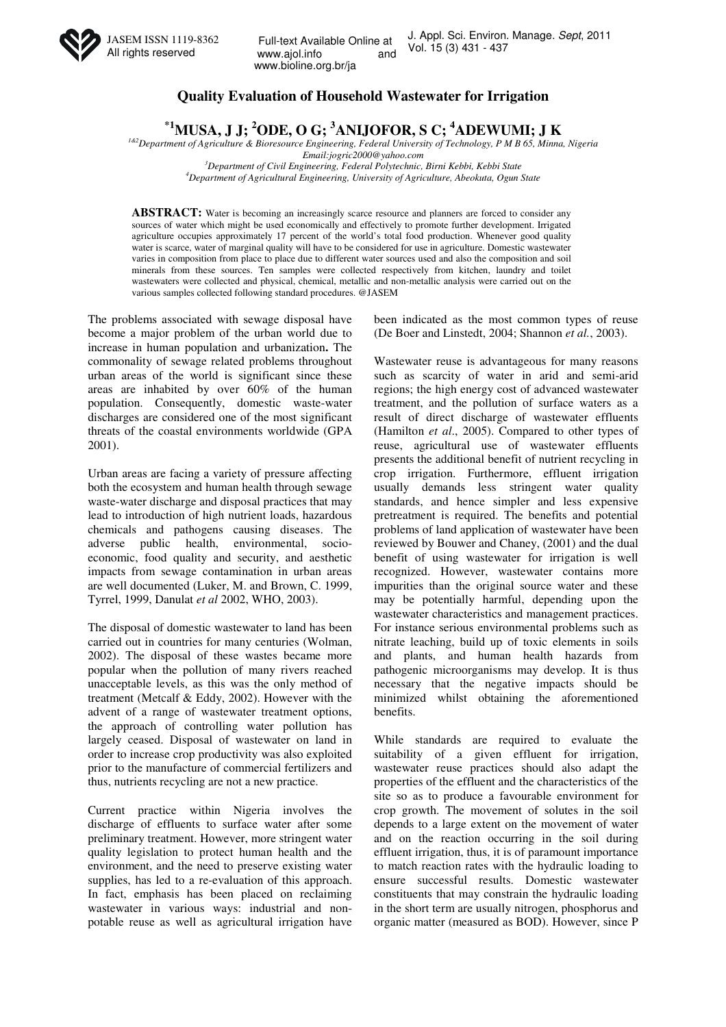

# **Quality Evaluation of Household Wastewater for Irrigation**

**\*1MUSA, J J; <sup>2</sup>ODE, O G; <sup>3</sup>ANIJOFOR, S C; <sup>4</sup>ADEWUMI; J K** 

*1&2Department of Agriculture & Bioresource Engineering, Federal University of Technology, P M B 65, Minna, Nigeria* 

*Email:jogric2000@yahoo.com* 

*<sup>3</sup>Department of Civil Engineering, Federal Polytechnic, Birni Kebbi, Kebbi State <sup>4</sup>Department of Agricultural Engineering, University of Agriculture, Abeokuta, Ogun State* 

ABSTRACT: Water is becoming an increasingly scarce resource and planners are forced to consider any sources of water which might be used economically and effectively to promote further development. Irrigated agriculture occupies approximately 17 percent of the world's total food production. Whenever good quality water is scarce, water of marginal quality will have to be considered for use in agriculture. Domestic wastewater varies in composition from place to place due to different water sources used and also the composition and soil minerals from these sources. Ten samples were collected respectively from kitchen, laundry and toilet wastewaters were collected and physical, chemical, metallic and non-metallic analysis were carried out on the various samples collected following standard procedures. @JASEM

The problems associated with sewage disposal have become a major problem of the urban world due to increase in human population and urbanization**.** The commonality of sewage related problems throughout urban areas of the world is significant since these areas are inhabited by over 60% of the human population. Consequently, domestic waste-water discharges are considered one of the most significant threats of the coastal environments worldwide (GPA 2001).

Urban areas are facing a variety of pressure affecting both the ecosystem and human health through sewage waste-water discharge and disposal practices that may lead to introduction of high nutrient loads, hazardous chemicals and pathogens causing diseases. The adverse public health, environmental, socioeconomic, food quality and security, and aesthetic impacts from sewage contamination in urban areas are well documented (Luker, M. and Brown, C. 1999, Tyrrel, 1999, Danulat *et al* 2002, WHO, 2003).

The disposal of domestic wastewater to land has been carried out in countries for many centuries (Wolman, 2002). The disposal of these wastes became more popular when the pollution of many rivers reached unacceptable levels, as this was the only method of treatment (Metcalf & Eddy, 2002). However with the advent of a range of wastewater treatment options, the approach of controlling water pollution has largely ceased. Disposal of wastewater on land in order to increase crop productivity was also exploited prior to the manufacture of commercial fertilizers and thus, nutrients recycling are not a new practice.

Current practice within Nigeria involves the discharge of effluents to surface water after some preliminary treatment. However, more stringent water quality legislation to protect human health and the environment, and the need to preserve existing water supplies, has led to a re-evaluation of this approach. In fact, emphasis has been placed on reclaiming wastewater in various ways: industrial and nonpotable reuse as well as agricultural irrigation have been indicated as the most common types of reuse (De Boer and Linstedt, 2004; Shannon *et al.*, 2003).

Wastewater reuse is advantageous for many reasons such as scarcity of water in arid and semi-arid regions; the high energy cost of advanced wastewater treatment, and the pollution of surface waters as a result of direct discharge of wastewater effluents (Hamilton *et al*., 2005). Compared to other types of reuse, agricultural use of wastewater effluents presents the additional benefit of nutrient recycling in crop irrigation. Furthermore, effluent irrigation usually demands less stringent water quality standards, and hence simpler and less expensive pretreatment is required. The benefits and potential problems of land application of wastewater have been reviewed by Bouwer and Chaney, (2001) and the dual benefit of using wastewater for irrigation is well recognized. However, wastewater contains more impurities than the original source water and these may be potentially harmful, depending upon the wastewater characteristics and management practices. For instance serious environmental problems such as nitrate leaching, build up of toxic elements in soils and plants, and human health hazards from pathogenic microorganisms may develop. It is thus necessary that the negative impacts should be minimized whilst obtaining the aforementioned benefits.

While standards are required to evaluate the suitability of a given effluent for irrigation, wastewater reuse practices should also adapt the properties of the effluent and the characteristics of the site so as to produce a favourable environment for crop growth. The movement of solutes in the soil depends to a large extent on the movement of water and on the reaction occurring in the soil during effluent irrigation, thus, it is of paramount importance to match reaction rates with the hydraulic loading to ensure successful results. Domestic wastewater constituents that may constrain the hydraulic loading in the short term are usually nitrogen, phosphorus and organic matter (measured as BOD). However, since P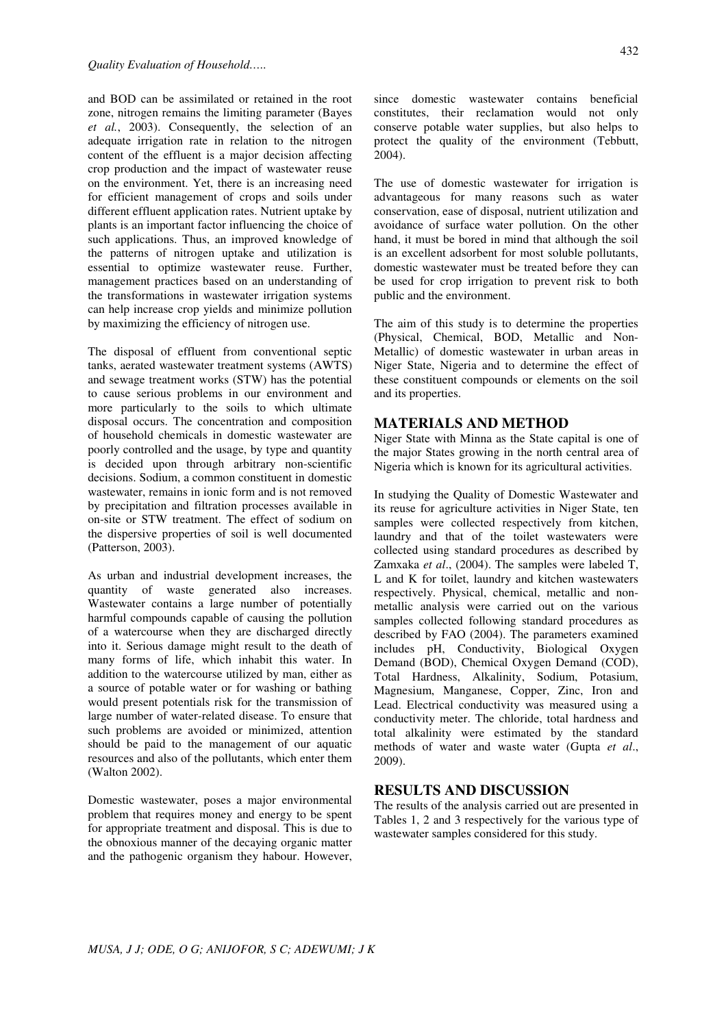and BOD can be assimilated or retained in the root zone, nitrogen remains the limiting parameter (Bayes *et al.*, 2003). Consequently, the selection of an adequate irrigation rate in relation to the nitrogen content of the effluent is a major decision affecting crop production and the impact of wastewater reuse on the environment. Yet, there is an increasing need for efficient management of crops and soils under different effluent application rates. Nutrient uptake by plants is an important factor influencing the choice of such applications. Thus, an improved knowledge of the patterns of nitrogen uptake and utilization is essential to optimize wastewater reuse. Further, management practices based on an understanding of the transformations in wastewater irrigation systems can help increase crop yields and minimize pollution by maximizing the efficiency of nitrogen use.

The disposal of effluent from conventional septic tanks, aerated wastewater treatment systems (AWTS) and sewage treatment works (STW) has the potential to cause serious problems in our environment and more particularly to the soils to which ultimate disposal occurs. The concentration and composition of household chemicals in domestic wastewater are poorly controlled and the usage, by type and quantity is decided upon through arbitrary non-scientific decisions. Sodium, a common constituent in domestic wastewater, remains in ionic form and is not removed by precipitation and filtration processes available in on-site or STW treatment. The effect of sodium on the dispersive properties of soil is well documented (Patterson, 2003).

As urban and industrial development increases, the quantity of waste generated also increases. Wastewater contains a large number of potentially harmful compounds capable of causing the pollution of a watercourse when they are discharged directly into it. Serious damage might result to the death of many forms of life, which inhabit this water. In addition to the watercourse utilized by man, either as a source of potable water or for washing or bathing would present potentials risk for the transmission of large number of water-related disease. To ensure that such problems are avoided or minimized, attention should be paid to the management of our aquatic resources and also of the pollutants, which enter them (Walton 2002).

Domestic wastewater, poses a major environmental problem that requires money and energy to be spent for appropriate treatment and disposal. This is due to the obnoxious manner of the decaying organic matter and the pathogenic organism they habour. However, since domestic wastewater contains beneficial constitutes, their reclamation would not only conserve potable water supplies, but also helps to protect the quality of the environment (Tebbutt, 2004).

The use of domestic wastewater for irrigation is advantageous for many reasons such as water conservation, ease of disposal, nutrient utilization and avoidance of surface water pollution. On the other hand, it must be bored in mind that although the soil is an excellent adsorbent for most soluble pollutants, domestic wastewater must be treated before they can be used for crop irrigation to prevent risk to both public and the environment.

The aim of this study is to determine the properties (Physical, Chemical, BOD, Metallic and Non-Metallic) of domestic wastewater in urban areas in Niger State, Nigeria and to determine the effect of these constituent compounds or elements on the soil and its properties.

## **MATERIALS AND METHOD**

Niger State with Minna as the State capital is one of the major States growing in the north central area of Nigeria which is known for its agricultural activities.

In studying the Quality of Domestic Wastewater and its reuse for agriculture activities in Niger State, ten samples were collected respectively from kitchen, laundry and that of the toilet wastewaters were collected using standard procedures as described by Zamxaka *et al*., (2004). The samples were labeled T, L and K for toilet, laundry and kitchen wastewaters respectively. Physical, chemical, metallic and nonmetallic analysis were carried out on the various samples collected following standard procedures as described by FAO (2004). The parameters examined includes pH, Conductivity, Biological Oxygen Demand (BOD), Chemical Oxygen Demand (COD), Total Hardness, Alkalinity, Sodium, Potasium, Magnesium, Manganese, Copper, Zinc, Iron and Lead. Electrical conductivity was measured using a conductivity meter. The chloride, total hardness and total alkalinity were estimated by the standard methods of water and waste water (Gupta *et al*., 2009).

## **RESULTS AND DISCUSSION**

The results of the analysis carried out are presented in Tables 1, 2 and 3 respectively for the various type of wastewater samples considered for this study.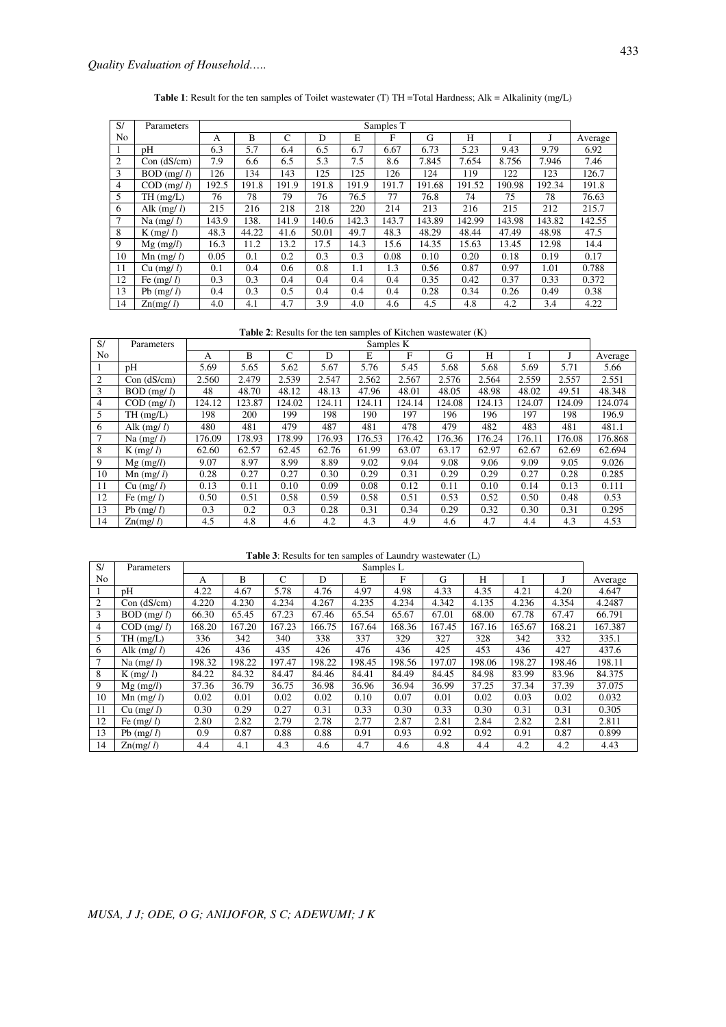**Table 1**: Result for the ten samples of Toilet wastewater (T) TH =Total Hardness; Alk = Alkalinity (mg/L)

| S/             | Parameters               | Samples T |       |               |       |       |       |        |        |        |        |         |
|----------------|--------------------------|-----------|-------|---------------|-------|-------|-------|--------|--------|--------|--------|---------|
| N <sub>o</sub> |                          | А         | B     | $\mathcal{C}$ | D     | E     | F     | G      | H      |        |        | Average |
|                | pΗ                       | 6.3       | 5.7   | 6.4           | 6.5   | 6.7   | 6.67  | 6.73   | 5.23   | 9.43   | 9.79   | 6.92    |
| 2              | Con (dS/cm)              | 7.9       | 6.6   | 6.5           | 5.3   | 7.5   | 8.6   | 7.845  | 7.654  | 8.756  | 7.946  | 7.46    |
| 3              | $BOD$ (mg/ $l$ )         | 126       | 134   | 143           | 125   | 125   | 126   | 124    | 119    | 122    | 123    | 126.7   |
| $\overline{4}$ | $COD$ (mg/ $l$ )         | 192.5     | 191.8 | 191.9         | 191.8 | 191.9 | 191.7 | 191.68 | 191.52 | 190.98 | 192.34 | 191.8   |
| 5              | TH(mg/L)                 | 76        | 78    | 79            | 76    | 76.5  | 77    | 76.8   | 74     | 75     | 78     | 76.63   |
| 6              | Alk $(mg/l)$             | 215       | 216   | 218           | 218   | 220   | 214   | 213    | 216    | 215    | 212    | 215.7   |
| $\overline{7}$ | Na $(mg/l)$              | 143.9     | 138.  | 141.9         | 140.6 | 142.3 | 143.7 | 143.89 | 142.99 | 143.98 | 143.82 | 142.55  |
| 8              | $K$ (mg/ l)              | 48.3      | 44.22 | 41.6          | 50.01 | 49.7  | 48.3  | 48.29  | 48.44  | 47.49  | 48.98  | 47.5    |
| 9              | $Mg$ (mg/l)              | 16.3      | 11.2  | 13.2          | 17.5  | 14.3  | 15.6  | 14.35  | 15.63  | 13.45  | 12.98  | 14.4    |
| 10             | $\text{Mn}$ (mg/ l)      | 0.05      | 0.1   | 0.2           | 0.3   | 0.3   | 0.08  | 0.10   | 0.20   | 0.18   | 0.19   | 0.17    |
| 11             | $Cu$ (mg/ l)             | 0.1       | 0.4   | 0.6           | 0.8   | 1.1   | 1.3   | 0.56   | 0.87   | 0.97   | 1.01   | 0.788   |
| 12             | Fe $(mg/l)$              | 0.3       | 0.3   | 0.4           | 0.4   | 0.4   | 0.4   | 0.35   | 0.42   | 0.37   | 0.33   | 0.372   |
| 13             | Pb $(mg/l)$              | 0.4       | 0.3   | 0.5           | 0.4   | 0.4   | 0.4   | 0.28   | 0.34   | 0.26   | 0.49   | 0.38    |
| 14             | $\text{Zn}(m\text{g}/l)$ | 4.0       | 4.1   | 4.7           | 3.9   | 4.0   | 4.6   | 4.5    | 4.8    | 4.2    | 3.4    | 4.22    |

**Table 2**: Results for the ten samples of Kitchen wastewater (K)

| S/             | Parameters               | Samples K |        |        |        |        |        |        |        |        |        |         |
|----------------|--------------------------|-----------|--------|--------|--------|--------|--------|--------|--------|--------|--------|---------|
| N <sub>o</sub> |                          | A         | B      | C      | D      | E      | F      | G      | H      |        |        | Average |
|                | pΗ                       | 5.69      | 5.65   | 5.62   | 5.67   | 5.76   | 5.45   | 5.68   | 5.68   | 5.69   | 5.71   | 5.66    |
| 2              | Con (dS/cm)              | 2.560     | 2.479  | 2.539  | 2.547  | 2.562  | 2.567  | 2.576  | 2.564  | 2.559  | 2.557  | 2.551   |
| 3              | $BOD$ (mg/ $l$ )         | 48        | 48.70  | 48.12  | 48.13  | 47.96  | 48.01  | 48.05  | 48.98  | 48.02  | 49.51  | 48.348  |
| 4              | $COD$ (mg/ $l$ )         | 124.12    | 123.87 | 124.02 | 124.11 | 124.11 | 124.14 | 124.08 | 124.13 | 124.07 | 124.09 | 124.074 |
| 5.             | TH(mg/L)                 | 198       | 200    | 199    | 198    | 190    | 197    | 196    | 196    | 197    | 198    | 196.9   |
| 6              | Alk $(mg/l)$             | 480       | 481    | 479    | 487    | 481    | 478    | 479    | 482    | 483    | 481    | 481.1   |
|                | Na $(mg/l)$              | 176.09    | 178.93 | 178.99 | 176.93 | 176.53 | 176.42 | 176.36 | 176.24 | 176.11 | 176.08 | 176.868 |
| 8              | $K$ (mg/ $l$ )           | 62.60     | 62.57  | 62.45  | 62.76  | 61.99  | 63.07  | 63.17  | 62.97  | 62.67  | 62.69  | 62.694  |
| 9              | $Mg$ (mg/l)              | 9.07      | 8.97   | 8.99   | 8.89   | 9.02   | 9.04   | 9.08   | 9.06   | 9.09   | 9.05   | 9.026   |
| 10             | $Mn$ (mg/ $l$ )          | 0.28      | 0.27   | 0.27   | 0.30   | 0.29   | 0.31   | 0.29   | 0.29   | 0.27   | 0.28   | 0.285   |
| 11             | $Cu$ (mg/ l)             | 0.13      | 0.11   | 0.10   | 0.09   | 0.08   | 0.12   | 0.11   | 0.10   | 0.14   | 0.13   | 0.111   |
| 12             | Fe $(mg/l)$              | 0.50      | 0.51   | 0.58   | 0.59   | 0.58   | 0.51   | 0.53   | 0.52   | 0.50   | 0.48   | 0.53    |
| 13             | Pb $(mg/l)$              | 0.3       | 0.2    | 0.3    | 0.28   | 0.31   | 0.34   | 0.29   | 0.32   | 0.30   | 0.31   | 0.295   |
| 14             | $\text{Zn}(m\text{g}/l)$ | 4.5       | 4.8    | 4.6    | 4.2    | 4.3    | 4.9    | 4.6    | 4.7    | 4.4    | 4.3    | 4.53    |

**Table 3**: Results for ten samples of Laundry wastewater (L)

| S/             | Parameters               | Samples L |        |               |        |        |        |        |        |        |        |         |
|----------------|--------------------------|-----------|--------|---------------|--------|--------|--------|--------|--------|--------|--------|---------|
| N <sub>0</sub> |                          | A         | B      | $\mathcal{C}$ | D      | E      | F      | G      | Н      |        |        | Average |
|                | pH                       | 4.22      | 4.67   | 5.78          | 4.76   | 4.97   | 4.98   | 4.33   | 4.35   | 4.21   | 4.20   | 4.647   |
| 2              | Con (dS/cm)              | 4.220     | 4.230  | 4.234         | 4.267  | 4.235  | 4.234  | 4.342  | 4.135  | 4.236  | 4.354  | 4.2487  |
| 3              | $BOD$ (mg/ $l$ )         | 66.30     | 65.45  | 67.23         | 67.46  | 65.54  | 65.67  | 67.01  | 68.00  | 67.78  | 67.47  | 66.791  |
| 4              | $COD$ (mg/ $l$ )         | 168.20    | 167.20 | 167.23        | 166.75 | 167.64 | 168.36 | 167.45 | 167.16 | 165.67 | 168.21 | 167.387 |
| 5              | TH(mg/L)                 | 336       | 342    | 340           | 338    | 337    | 329    | 327    | 328    | 342    | 332    | 335.1   |
| 6              | Alk $(mg/l)$             | 426       | 436    | 435           | 426    | 476    | 436    | 425    | 453    | 436    | 427    | 437.6   |
| 7              | Na $(mg/l)$              | 198.32    | 198.22 | 197.47        | 198.22 | 198.45 | 198.56 | 197.07 | 198.06 | 198.27 | 198.46 | 198.11  |
| 8              | $K$ (mg/ $l$ )           | 84.22     | 84.32  | 84.47         | 84.46  | 84.41  | 84.49  | 84.45  | 84.98  | 83.99  | 83.96  | 84.375  |
| 9              | $Mg$ (mg/l)              | 37.36     | 36.79  | 36.75         | 36.98  | 36.96  | 36.94  | 36.99  | 37.25  | 37.34  | 37.39  | 37.075  |
| 10             | $Mn$ (mg/ $l$ )          | 0.02      | 0.01   | 0.02          | 0.02   | 0.10   | 0.07   | 0.01   | 0.02   | 0.03   | 0.02   | 0.032   |
| 11             | Cu (mg/l)                | 0.30      | 0.29   | 0.27          | 0.31   | 0.33   | 0.30   | 0.33   | 0.30   | 0.31   | 0.31   | 0.305   |
| 12             | Fe $(mg/l)$              | 2.80      | 2.82   | 2.79          | 2.78   | 2.77   | 2.87   | 2.81   | 2.84   | 2.82   | 2.81   | 2.811   |
| 13             | Pb $(mg/l)$              | 0.9       | 0.87   | 0.88          | 0.88   | 0.91   | 0.93   | 0.92   | 0.92   | 0.91   | 0.87   | 0.899   |
| 14             | $\text{Zn}(m\text{g}/l)$ | 4.4       | 4.1    | 4.3           | 4.6    | 4.7    | 4.6    | 4.8    | 4.4    | 4.2    | 4.2    | 4.43    |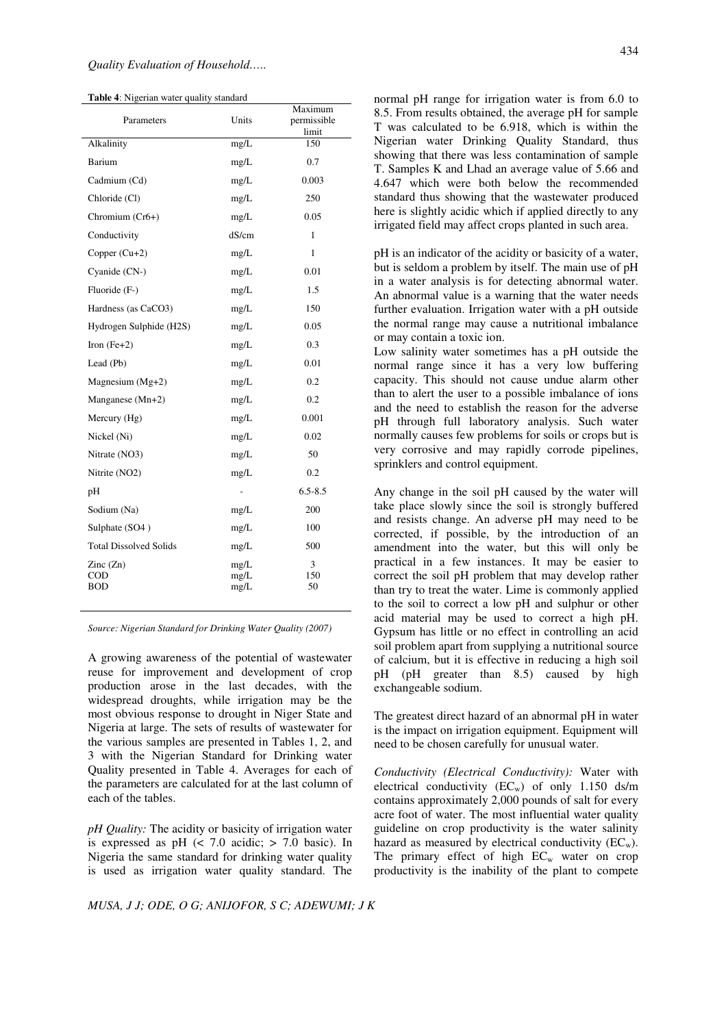**Table 4**: Nigerian water quality standard

| Parameters                                           | Units                | Maximum<br>permissible<br>limit |
|------------------------------------------------------|----------------------|---------------------------------|
| Alkalinity                                           | mg/L                 | 150                             |
| Barium                                               | mg/L                 | 0.7                             |
| Cadmium (Cd)                                         | mg/L                 | 0.003                           |
| Chloride (Cl)                                        | mg/L                 | 250                             |
| Chromium (Cr6+)                                      | mg/L                 | 0.05                            |
| Conductivity                                         | dS/cm                | 1                               |
| Copper $(Cu+2)$                                      | mg/L                 | $\mathbf{1}$                    |
| Cyanide (CN-)                                        | mg/L                 | 0.01                            |
| Fluoride (F-)                                        | mg/L                 | 1.5                             |
| Hardness (as CaCO3)                                  | mg/L                 | 150                             |
| Hydrogen Sulphide (H2S)                              | mg/L                 | 0.05                            |
| Iron $(Fe+2)$                                        | mg/L                 | 0.3                             |
| Lead (Pb)                                            | mg/L                 | 0.01                            |
| Magnesium $(Mg+2)$                                   | mg/L                 | 0.2                             |
| Manganese (Mn+2)                                     | mg/L                 | 0.2                             |
| Mercury (Hg)                                         | mg/L                 | 0.001                           |
| Nickel (Ni)                                          | mg/L                 | 0.02                            |
| Nitrate (NO3)                                        | mg/L                 | 50                              |
| Nitrite (NO2)                                        | mg/L                 | 0.2                             |
| pH                                                   | $\overline{a}$       | $6.5 - 8.5$                     |
| Sodium (Na)                                          | mg/L                 | 200                             |
| Sulphate (SO4)                                       | mg/L                 | 100                             |
| <b>Total Dissolved Solids</b>                        | mg/L                 | 500                             |
| $\text{Zinc}(\text{Zn})$<br>$\rm{COD}$<br><b>BOD</b> | mg/L<br>mg/L<br>mg/L | 3<br>150<br>50                  |

*Source: Nigerian Standard for Drinking Water Quality (2007)* 

A growing awareness of the potential of wastewater reuse for improvement and development of crop production arose in the last decades, with the widespread droughts, while irrigation may be the most obvious response to drought in Niger State and Nigeria at large. The sets of results of wastewater for the various samples are presented in Tables 1, 2, and 3 with the Nigerian Standard for Drinking water Quality presented in Table 4. Averages for each of the parameters are calculated for at the last column of each of the tables.

*pH Quality:* The acidity or basicity of irrigation water is expressed as pH  $\left($  < 7.0 acidic; > 7.0 basic). In Nigeria the same standard for drinking water quality is used as irrigation water quality standard. The

*MUSA, J J; ODE, O G; ANIJOFOR, S C; ADEWUMI; J K*

normal pH range for irrigation water is from 6.0 to 8.5. From results obtained, the average pH for sample T was calculated to be 6.918, which is within the Nigerian water Drinking Quality Standard, thus showing that there was less contamination of sample T. Samples K and Lhad an average value of 5.66 and 4.647 which were both below the recommended standard thus showing that the wastewater produced here is slightly acidic which if applied directly to any irrigated field may affect crops planted in such area.

pH is an indicator of the acidity or basicity of a water, but is seldom a problem by itself. The main use of pH in a water analysis is for detecting abnormal water. An abnormal value is a warning that the water needs further evaluation. Irrigation water with a pH outside the normal range may cause a nutritional imbalance or may contain a toxic ion.

Low salinity water sometimes has a pH outside the normal range since it has a very low buffering capacity. This should not cause undue alarm other than to alert the user to a possible imbalance of ions and the need to establish the reason for the adverse pH through full laboratory analysis. Such water normally causes few problems for soils or crops but is very corrosive and may rapidly corrode pipelines, sprinklers and control equipment.

Any change in the soil pH caused by the water will take place slowly since the soil is strongly buffered and resists change. An adverse pH may need to be corrected, if possible, by the introduction of an amendment into the water, but this will only be practical in a few instances. It may be easier to correct the soil pH problem that may develop rather than try to treat the water. Lime is commonly applied to the soil to correct a low pH and sulphur or other acid material may be used to correct a high pH. Gypsum has little or no effect in controlling an acid soil problem apart from supplying a nutritional source of calcium, but it is effective in reducing a high soil pH (pH greater than 8.5) caused by high exchangeable sodium.

The greatest direct hazard of an abnormal pH in water is the impact on irrigation equipment. Equipment will need to be chosen carefully for unusual water.

*Conductivity (Electrical Conductivity):* Water with electrical conductivity  $(EC_w)$  of only 1.150 ds/m contains approximately 2,000 pounds of salt for every acre foot of water. The most influential water quality guideline on crop productivity is the water salinity hazard as measured by electrical conductivity  $(EC_w)$ . The primary effect of high  $EC_w$  water on crop productivity is the inability of the plant to compete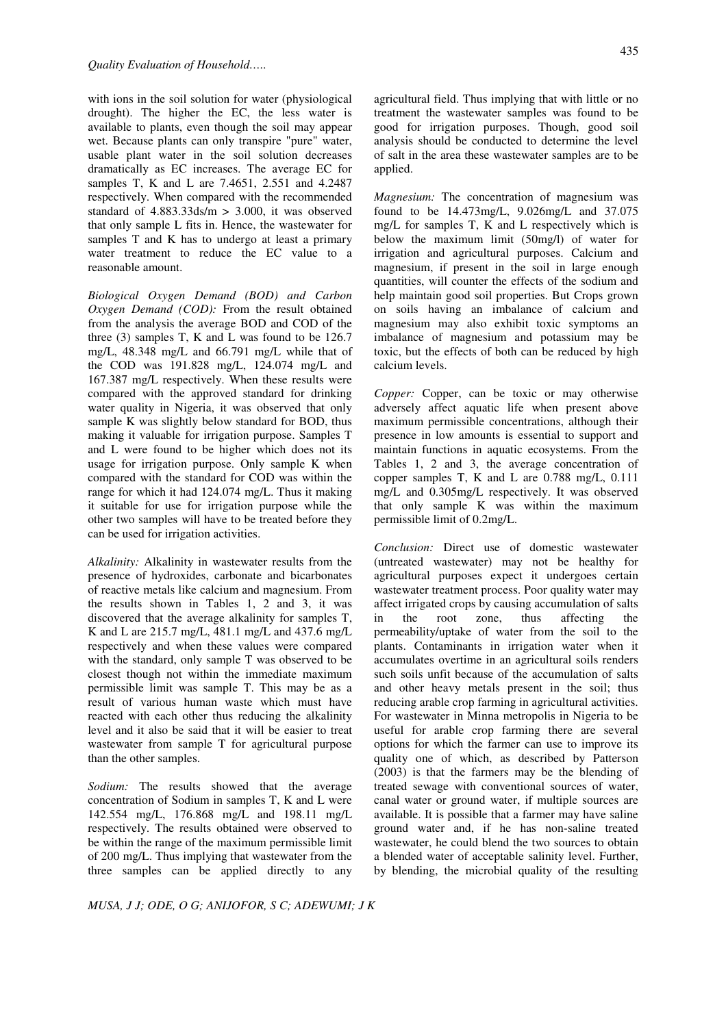with ions in the soil solution for water (physiological drought). The higher the EC, the less water is available to plants, even though the soil may appear wet. Because plants can only transpire "pure" water, usable plant water in the soil solution decreases dramatically as EC increases. The average EC for samples T, K and L are 7.4651, 2.551 and 4.2487 respectively. When compared with the recommended standard of  $4.883.33$ ds/m  $> 3.000$ , it was observed that only sample L fits in. Hence, the wastewater for samples T and K has to undergo at least a primary water treatment to reduce the EC value to a reasonable amount.

*Biological Oxygen Demand (BOD) and Carbon Oxygen Demand (COD):* From the result obtained from the analysis the average BOD and COD of the three (3) samples T, K and L was found to be 126.7 mg/L, 48.348 mg/L and 66.791 mg/L while that of the COD was 191.828 mg/L, 124.074 mg/L and 167.387 mg/L respectively. When these results were compared with the approved standard for drinking water quality in Nigeria, it was observed that only sample K was slightly below standard for BOD, thus making it valuable for irrigation purpose. Samples T and L were found to be higher which does not its usage for irrigation purpose. Only sample K when compared with the standard for COD was within the range for which it had 124.074 mg/L. Thus it making it suitable for use for irrigation purpose while the other two samples will have to be treated before they can be used for irrigation activities.

*Alkalinity:* Alkalinity in wastewater results from the presence of hydroxides, carbonate and bicarbonates of reactive metals like calcium and magnesium. From the results shown in Tables 1, 2 and 3, it was discovered that the average alkalinity for samples T, K and L are 215.7 mg/L, 481.1 mg/L and 437.6 mg/L respectively and when these values were compared with the standard, only sample T was observed to be closest though not within the immediate maximum permissible limit was sample T. This may be as a result of various human waste which must have reacted with each other thus reducing the alkalinity level and it also be said that it will be easier to treat wastewater from sample T for agricultural purpose than the other samples.

*Sodium:* The results showed that the average concentration of Sodium in samples T, K and L were 142.554 mg/L, 176.868 mg/L and 198.11 mg/L respectively. The results obtained were observed to be within the range of the maximum permissible limit of 200 mg/L. Thus implying that wastewater from the three samples can be applied directly to any

*MUSA, J J; ODE, O G; ANIJOFOR, S C; ADEWUMI; J K*

agricultural field. Thus implying that with little or no treatment the wastewater samples was found to be good for irrigation purposes. Though, good soil analysis should be conducted to determine the level of salt in the area these wastewater samples are to be applied.

*Magnesium:* The concentration of magnesium was found to be 14.473mg/L, 9.026mg/L and 37.075 mg/L for samples T, K and L respectively which is below the maximum limit (50mg/l) of water for irrigation and agricultural purposes. Calcium and magnesium, if present in the soil in large enough quantities, will counter the effects of the sodium and help maintain good soil properties. But Crops grown on soils having an imbalance of calcium and magnesium may also exhibit toxic symptoms an imbalance of magnesium and potassium may be toxic, but the effects of both can be reduced by high calcium levels.

*Copper:* Copper, can be toxic or may otherwise adversely affect aquatic life when present above maximum permissible concentrations, although their presence in low amounts is essential to support and maintain functions in aquatic ecosystems. From the Tables 1, 2 and 3, the average concentration of copper samples T, K and L are 0.788 mg/L, 0.111 mg/L and 0.305mg/L respectively. It was observed that only sample K was within the maximum permissible limit of 0.2mg/L.

*Conclusion:* Direct use of domestic wastewater (untreated wastewater) may not be healthy for agricultural purposes expect it undergoes certain wastewater treatment process. Poor quality water may affect irrigated crops by causing accumulation of salts in the root zone, thus affecting the permeability/uptake of water from the soil to the plants. Contaminants in irrigation water when it accumulates overtime in an agricultural soils renders such soils unfit because of the accumulation of salts and other heavy metals present in the soil; thus reducing arable crop farming in agricultural activities. For wastewater in Minna metropolis in Nigeria to be useful for arable crop farming there are several options for which the farmer can use to improve its quality one of which, as described by Patterson (2003) is that the farmers may be the blending of treated sewage with conventional sources of water, canal water or ground water, if multiple sources are available. It is possible that a farmer may have saline ground water and, if he has non-saline treated wastewater, he could blend the two sources to obtain a blended water of acceptable salinity level. Further, by blending, the microbial quality of the resulting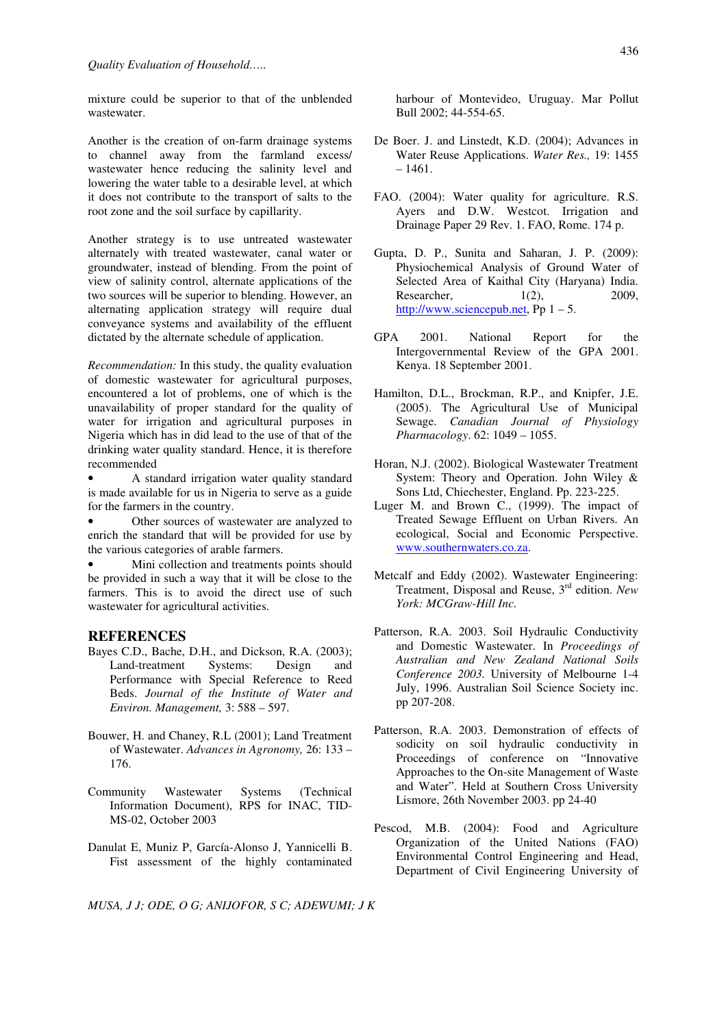mixture could be superior to that of the unblended wastewater.

Another is the creation of on-farm drainage systems to channel away from the farmland excess/ wastewater hence reducing the salinity level and lowering the water table to a desirable level, at which it does not contribute to the transport of salts to the root zone and the soil surface by capillarity.

Another strategy is to use untreated wastewater alternately with treated wastewater, canal water or groundwater, instead of blending. From the point of view of salinity control, alternate applications of the two sources will be superior to blending. However, an alternating application strategy will require dual conveyance systems and availability of the effluent dictated by the alternate schedule of application.

*Recommendation:* In this study, the quality evaluation of domestic wastewater for agricultural purposes, encountered a lot of problems, one of which is the unavailability of proper standard for the quality of water for irrigation and agricultural purposes in Nigeria which has in did lead to the use of that of the drinking water quality standard. Hence, it is therefore recommended

• A standard irrigation water quality standard is made available for us in Nigeria to serve as a guide for the farmers in the country.

Other sources of wastewater are analyzed to enrich the standard that will be provided for use by the various categories of arable farmers.

Mini collection and treatments points should be provided in such a way that it will be close to the farmers. This is to avoid the direct use of such wastewater for agricultural activities.

#### **REFERENCES**

- Bayes C.D., Bache, D.H., and Dickson, R.A. (2003); Land-treatment Systems: Design and Performance with Special Reference to Reed Beds. *Journal of the Institute of Water and Environ. Management,* 3: 588 – 597.
- Bouwer, H. and Chaney, R.L (2001); Land Treatment of Wastewater. *Advances in Agronomy,* 26: 133 – 176.
- Community Wastewater Systems (Technical Information Document), RPS for INAC, TID-MS-02, October 2003
- Danulat E, Muniz P, García-Alonso J, Yannicelli B. Fist assessment of the highly contaminated

*MUSA, J J; ODE, O G; ANIJOFOR, S C; ADEWUMI; J K*

harbour of Montevideo, Uruguay. Mar Pollut Bull 2002; 44-554-65.

- De Boer. J. and Linstedt, K.D. (2004); Advances in Water Reuse Applications. *Water Res.,* 19: 1455  $-1461.$
- FAO. (2004): Water quality for agriculture. R.S. Ayers and D.W. Westcot. Irrigation and Drainage Paper 29 Rev. 1. FAO, Rome. 174 p.
- Gupta, D. P., Sunita and Saharan, J. P. (2009): Physiochemical Analysis of Ground Water of Selected Area of Kaithal City (Haryana) India. Researcher, 1(2), 2009, http://www.sciencepub.net, Pp 1 – 5.
- GPA 2001. National Report for the Intergovernmental Review of the GPA 2001. Kenya. 18 September 2001.
- Hamilton, D.L., Brockman, R.P., and Knipfer, J.E. (2005). The Agricultural Use of Municipal Sewage. *Canadian Journal of Physiology Pharmacology*. 62: 1049 – 1055.
- Horan, N.J. (2002). Biological Wastewater Treatment System: Theory and Operation. John Wiley & Sons Ltd, Chiechester, England. Pp. 223-225.
- Luger M. and Brown C., (1999). The impact of Treated Sewage Effluent on Urban Rivers. An ecological, Social and Economic Perspective. www.southernwaters.co.za.
- Metcalf and Eddy (2002). Wastewater Engineering: Treatment, Disposal and Reuse, 3rd edition. *New York: MCGraw-Hill Inc.*
- Patterson, R.A. 2003. Soil Hydraulic Conductivity and Domestic Wastewater. In *Proceedings of Australian and New Zealand National Soils Conference 2003.* University of Melbourne 1-4 July, 1996. Australian Soil Science Society inc. pp 207-208.
- Patterson, R.A. 2003. Demonstration of effects of sodicity on soil hydraulic conductivity in Proceedings of conference on "Innovative Approaches to the On-site Management of Waste and Water". Held at Southern Cross University Lismore, 26th November 2003. pp 24-40
- Pescod, M.B. (2004): Food and Agriculture Organization of the United Nations (FAO) Environmental Control Engineering and Head, Department of Civil Engineering University of